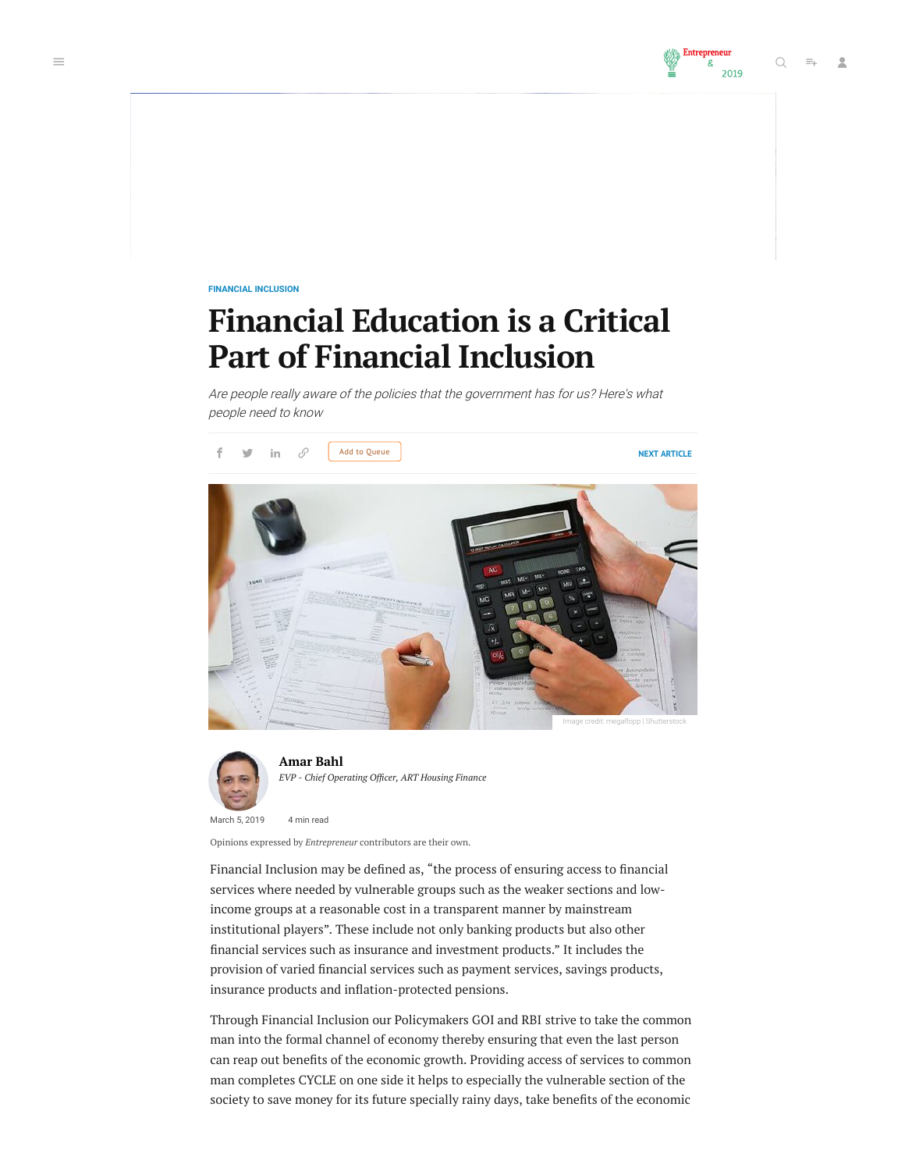

**[FINANCIAL INCLUSION](https://www.entrepreneur.com/topic/financial-inclusion)**

# **Financial Education is a Critical Part of Financial Inclusion**

Are people really aware of the policies that the government has for us? Here's what people need to know





**[Amar](https://www.entrepreneur.com/author/amar-bahl) Bahl**  $EVP$  *- Chief Operating Officer, ART Housing Finance* 

March 5, 2019 4 min read

Opinions expressed by *Entrepreneur* contributors are their own.

Financial Inclusion may be defined as, "the process of ensuring access to financial services where needed by vulnerable groups such as the weaker sections and lowincome groups at a reasonable cost in a transparent manner by mainstream institutional players". These include not only banking products but also other nancial services such as insurance and investment products." It includes the provision of varied financial services such as payment services, savings products, insurance products and inflation-protected pensions.

Through Financial Inclusion our Policymakers GOI and RBI strive to take the common man into the formal channel of economy thereby ensuring that even the last person can reap out benefits of the economic growth. Providing access of services to common man completes CYCLE on one side it helps to especially the vulnerable section of the society to save money for its future specially rainy days, take benefits of the economic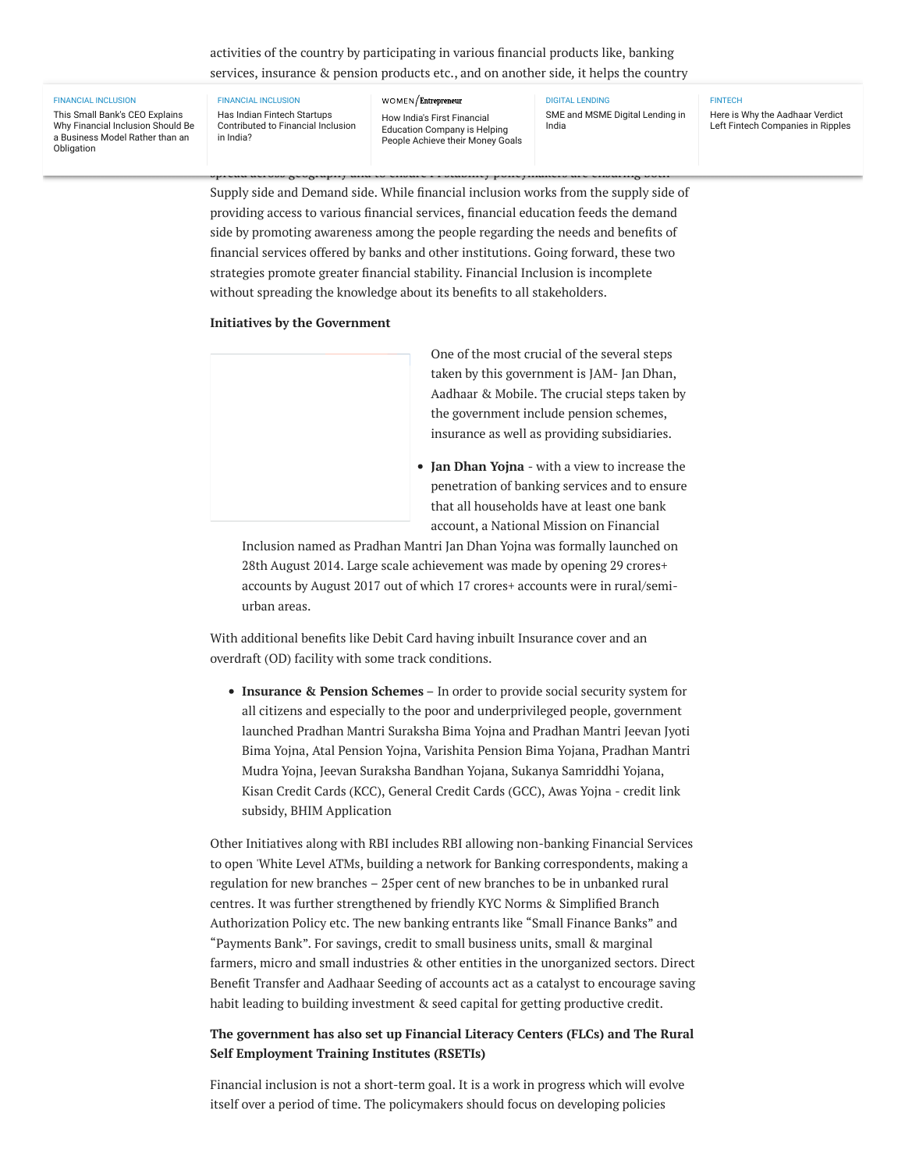# activities of the country by participating in various financial products like, banking services, insurance & pension products etc., and on another side*,* it helps the country

#### [FINANCIAL INCLUSION](https://www.entrepreneur.com/topic/financial-inclusion)

This Small Bank's CEO Explains [Why Financial Inclusion Should Be](https://www.entrepreneur.com/article/324853) a Business Model Rather than an Obligation

to increase the rate of 'capital [formation'](https://www.entrepreneur.com/women) which in turn, give a push to the economic Financial Inclusion process requires a lot of stability and an analysis requires in the channel of the challeng<br> [People Achieve their Money Goals](https://www.entrepreneur.com/article/328855) [FINANCIAL INCLUSION](https://www.entrepreneur.com/topic/financial-inclusion) Has Indian Fintech Startups [Contributed to Financial Inclusion](https://www.entrepreneur.com/article/321718) in India?

# How India's First Financial Education Company is Helping

spread across geography and to ensure FI stability policymakers are ensuring both

Has Indian Fintech Startups **by channelizing the money from every from every part of the money from every from every part of the country.** [DIGITAL LENDING](https://www.entrepreneur.com/topic/digital-lending) India

**[FINTECH](https://www.entrepreneur.com/topic/fintech)** 

Here is Why the Aadhaar Verdict [Left Fintech Companies in Ripples](https://www.entrepreneur.com/article/325288)

Supply side and Demand side. While financial inclusion works from the supply side of providing access to various financial services, financial education feeds the demand side by promoting awareness among the people regarding the needs and benefits of nancial services offered by banks and other institutions. Going forward, these two strategies promote greater financial stability. Financial Inclusion is incomplete without spreading the knowledge about its benefits to all stakeholders.

## **Initiatives by the Government**

One of the most crucial of the several steps taken by this government is JAM- Jan Dhan, Aadhaar & Mobile. The crucial steps taken by the government include pension schemes, insurance as well as providing subsidiaries.

**Jan Dhan Yojna** - with a view to increase the penetration of banking services and to ensure that all households have at least one bank account, a National Mission on Financial

Inclusion named as Pradhan Mantri Jan Dhan Yojna was formally launched on 28th August 2014. Large scale achievement was made by opening 29 crores+ accounts by August 2017 out of which 17 crores+ accounts were in rural/semiurban areas.

With additional benefits like Debit Card having inbuilt Insurance cover and an overdraft (OD) facility with some track conditions.

**Insurance & Pension Schemes** – In order to provide social security system for all citizens and especially to the poor and underprivileged people, government launched Pradhan Mantri Suraksha Bima Yojna and Pradhan Mantri Jeevan Jyoti Bima Yojna, Atal Pension Yojna, Varishita Pension Bima Yojana, Pradhan Mantri Mudra Yojna, Jeevan Suraksha Bandhan Yojana, Sukanya Samriddhi Yojana, Kisan Credit Cards (KCC), General Credit Cards (GCC), Awas Yojna - credit link subsidy, BHIM Application

Other Initiatives along with RBI includes RBI allowing non-banking Financial Services to open 'White Level ATMs, building a network for Banking correspondents, making a regulation for new branches – 25per cent of new branches to be in unbanked rural centres. It was further strengthened by friendly KYC Norms & Simplified Branch Authorization Policy etc. The new banking entrants like "Small Finance Banks" and "Payments Bank". For savings, credit to small business units, small & marginal farmers, micro and small industries & other entities in the unorganized sectors. Direct Benefit Transfer and Aadhaar Seeding of accounts act as a catalyst to encourage saving habit leading to building investment & seed capital for getting productive credit.

# **The government has also set up Financial Literacy Centers (FLCs) and The Rural Self Employment Training Institutes (RSETIs)**

Financial inclusion is not a short-term goal. It is a work in progress which will evolve itself over a period of time. The policymakers should focus on developing policies